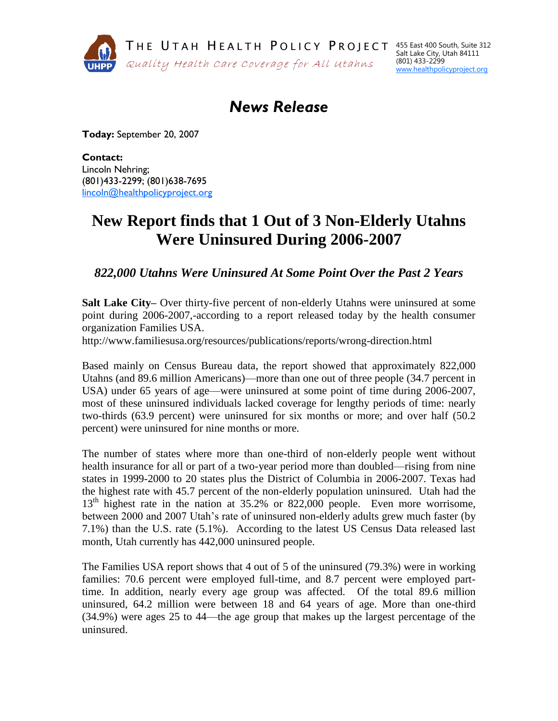

## *News Release*

**Today:** September 20, 2007

**Contact:**  Lincoln Nehring; (801)433-2299; (801)638-7695 [lincoln@healthpolicyproject.org](mailto:lincoln@healthpolicyproject.org)

## **New Report finds that 1 Out of 3 Non-Elderly Utahns Were Uninsured During 2006-2007**

*822,000 Utahns Were Uninsured At Some Point Over the Past 2 Years*

**Salt Lake City–** Over thirty-five percent of non-elderly Utahns were uninsured at some point during 2006-2007,-according to a report released today by the health consumer organization Families USA.

http://www.familiesusa.org/resources/publications/reports/wrong-direction.html

Based mainly on Census Bureau data, the report showed that approximately 822,000 Utahns (and 89.6 million Americans)—more than one out of three people (34.7 percent in USA) under 65 years of age—were uninsured at some point of time during 2006-2007, most of these uninsured individuals lacked coverage for lengthy periods of time: nearly two-thirds (63.9 percent) were uninsured for six months or more; and over half (50.2 percent) were uninsured for nine months or more.

The number of states where more than one-third of non-elderly people went without health insurance for all or part of a two-year period more than doubled—rising from nine states in 1999-2000 to 20 states plus the District of Columbia in 2006-2007. Texas had the highest rate with 45.7 percent of the non-elderly population uninsured. Utah had the  $13<sup>th</sup>$  highest rate in the nation at 35.2% or 822,000 people. Even more worrisome, between 2000 and 2007 Utah's rate of uninsured non-elderly adults grew much faster (by 7.1%) than the U.S. rate (5.1%). According to the latest US Census Data released last month, Utah currently has 442,000 uninsured people.

The Families USA report shows that 4 out of 5 of the uninsured (79.3%) were in working families: 70.6 percent were employed full-time, and 8.7 percent were employed parttime. In addition, nearly every age group was affected. Of the total 89.6 million uninsured, 64.2 million were between 18 and 64 years of age. More than one-third (34.9%) were ages 25 to 44—the age group that makes up the largest percentage of the uninsured.